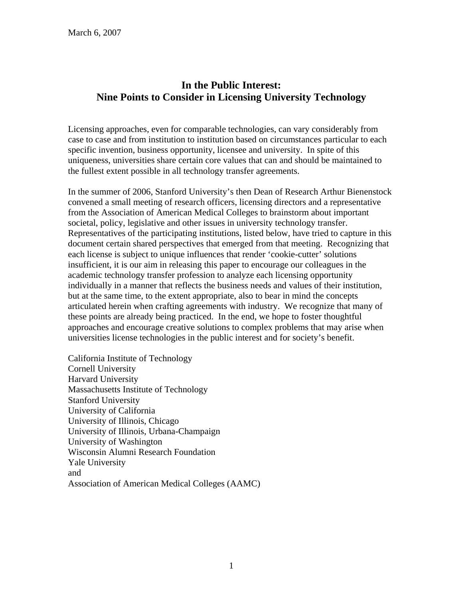# **In the Public Interest: Nine Points to Consider in Licensing University Technology**

Licensing approaches, even for comparable technologies, can vary considerably from case to case and from institution to institution based on circumstances particular to each specific invention, business opportunity, licensee and university. In spite of this uniqueness, universities share certain core values that can and should be maintained to the fullest extent possible in all technology transfer agreements.

In the summer of 2006, Stanford University's then Dean of Research Arthur Bienenstock convened a small meeting of research officers, licensing directors and a representative from the Association of American Medical Colleges to brainstorm about important societal, policy, legislative and other issues in university technology transfer. Representatives of the participating institutions, listed below, have tried to capture in this document certain shared perspectives that emerged from that meeting. Recognizing that each license is subject to unique influences that render 'cookie-cutter' solutions insufficient, it is our aim in releasing this paper to encourage our colleagues in the academic technology transfer profession to analyze each licensing opportunity individually in a manner that reflects the business needs and values of their institution, but at the same time, to the extent appropriate, also to bear in mind the concepts articulated herein when crafting agreements with industry. We recognize that many of these points are already being practiced. In the end, we hope to foster thoughtful approaches and encourage creative solutions to complex problems that may arise when universities license technologies in the public interest and for society's benefit.

California Institute of Technology Cornell University Harvard University Massachusetts Institute of Technology Stanford University University of California University of Illinois, Chicago University of Illinois, Urbana-Champaign University of Washington Wisconsin Alumni Research Foundation Yale University and Association of American Medical Colleges (AAMC)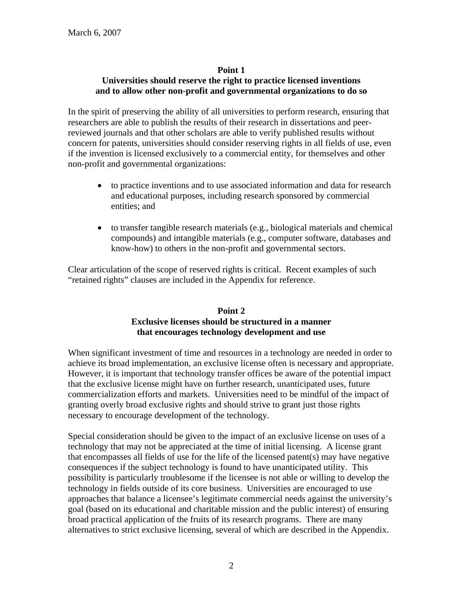### **Point 1**

# **Universities should reserve the right to practice licensed inventions and to allow other non-profit and governmental organizations to do so**

In the spirit of preserving the ability of all universities to perform research, ensuring that researchers are able to publish the results of their research in dissertations and peerreviewed journals and that other scholars are able to verify published results without concern for patents, universities should consider reserving rights in all fields of use, even if the invention is licensed exclusively to a commercial entity, for themselves and other non-profit and governmental organizations:

- to practice inventions and to use associated information and data for research and educational purposes, including research sponsored by commercial entities; and
- to transfer tangible research materials (e.g., biological materials and chemical compounds) and intangible materials (e.g., computer software, databases and know-how) to others in the non-profit and governmental sectors.

Clear articulation of the scope of reserved rights is critical. Recent examples of such "retained rights" clauses are included in the Appendix for reference.

### **Point 2 Exclusive licenses should be structured in a manner that encourages technology development and use**

When significant investment of time and resources in a technology are needed in order to achieve its broad implementation, an exclusive license often is necessary and appropriate. However, it is important that technology transfer offices be aware of the potential impact that the exclusive license might have on further research, unanticipated uses, future commercialization efforts and markets. Universities need to be mindful of the impact of granting overly broad exclusive rights and should strive to grant just those rights necessary to encourage development of the technology.

Special consideration should be given to the impact of an exclusive license on uses of a technology that may not be appreciated at the time of initial licensing. A license grant that encompasses all fields of use for the life of the licensed patent(s) may have negative consequences if the subject technology is found to have unanticipated utility. This possibility is particularly troublesome if the licensee is not able or willing to develop the technology in fields outside of its core business. Universities are encouraged to use approaches that balance a licensee's legitimate commercial needs against the university's goal (based on its educational and charitable mission and the public interest) of ensuring broad practical application of the fruits of its research programs. There are many alternatives to strict exclusive licensing, several of which are described in the Appendix.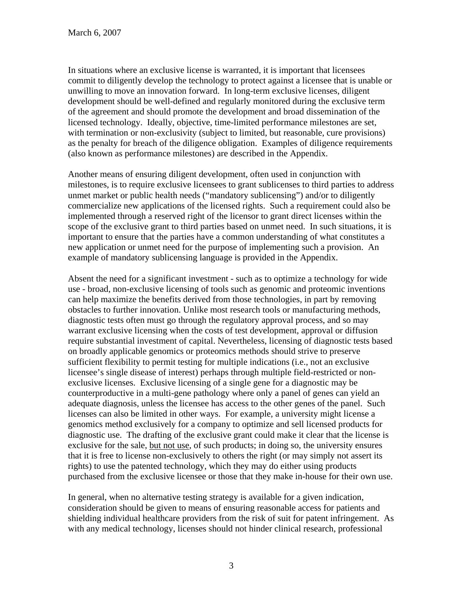In situations where an exclusive license is warranted, it is important that licensees commit to diligently develop the technology to protect against a licensee that is unable or unwilling to move an innovation forward. In long-term exclusive licenses, diligent development should be well-defined and regularly monitored during the exclusive term of the agreement and should promote the development and broad dissemination of the licensed technology. Ideally, objective, time-limited performance milestones are set, with termination or non-exclusivity (subject to limited, but reasonable, cure provisions) as the penalty for breach of the diligence obligation. Examples of diligence requirements (also known as performance milestones) are described in the Appendix.

Another means of ensuring diligent development, often used in conjunction with milestones, is to require exclusive licensees to grant sublicenses to third parties to address unmet market or public health needs ("mandatory sublicensing") and/or to diligently commercialize new applications of the licensed rights. Such a requirement could also be implemented through a reserved right of the licensor to grant direct licenses within the scope of the exclusive grant to third parties based on unmet need. In such situations, it is important to ensure that the parties have a common understanding of what constitutes a new application or unmet need for the purpose of implementing such a provision. An example of mandatory sublicensing language is provided in the Appendix.

Absent the need for a significant investment - such as to optimize a technology for wide use *-* broad, non-exclusive licensing of tools such as genomic and proteomic inventions can help maximize the benefits derived from those technologies, in part by removing obstacles to further innovation. Unlike most research tools or manufacturing methods, diagnostic tests often must go through the regulatory approval process, and so may warrant exclusive licensing when the costs of test development, approval or diffusion require substantial investment of capital. Nevertheless, licensing of diagnostic tests based on broadly applicable genomics or proteomics methods should strive to preserve sufficient flexibility to permit testing for multiple indications (i.e., not an exclusive licensee's single disease of interest) perhaps through multiple field-restricted or nonexclusive licenses. Exclusive licensing of a single gene for a diagnostic may be counterproductive in a multi-gene pathology where only a panel of genes can yield an adequate diagnosis, unless the licensee has access to the other genes of the panel. Such licenses can also be limited in other ways. For example, a university might license a genomics method exclusively for a company to optimize and sell licensed products for diagnostic use. The drafting of the exclusive grant could make it clear that the license is exclusive for the sale, but not use, of such products; in doing so, the university ensures that it is free to license non-exclusively to others the right (or may simply not assert its rights) to use the patented technology, which they may do either using products purchased from the exclusive licensee or those that they make in-house for their own use.

In general, when no alternative testing strategy is available for a given indication, consideration should be given to means of ensuring reasonable access for patients and shielding individual healthcare providers from the risk of suit for patent infringement. As with any medical technology, licenses should not hinder clinical research, professional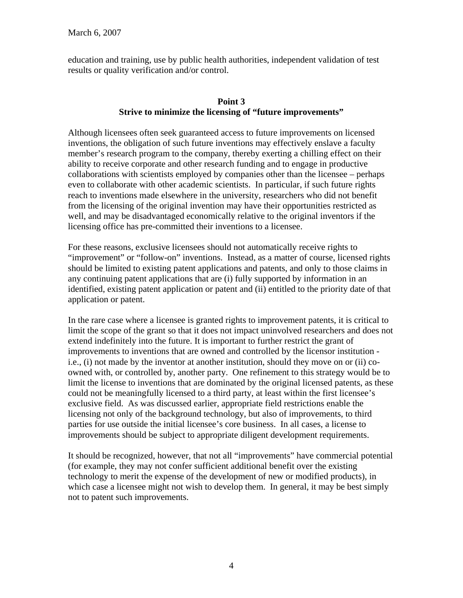education and training, use by public health authorities, independent validation of test results or quality verification and/or control.

# **Point 3 Strive to minimize the licensing of "future improvements"**

Although licensees often seek guaranteed access to future improvements on licensed inventions, the obligation of such future inventions may effectively enslave a faculty member's research program to the company, thereby exerting a chilling effect on their ability to receive corporate and other research funding and to engage in productive collaborations with scientists employed by companies other than the licensee – perhaps even to collaborate with other academic scientists. In particular, if such future rights reach to inventions made elsewhere in the university, researchers who did not benefit from the licensing of the original invention may have their opportunities restricted as well, and may be disadvantaged economically relative to the original inventors if the licensing office has pre-committed their inventions to a licensee.

For these reasons, exclusive licensees should not automatically receive rights to "improvement" or "follow-on" inventions. Instead, as a matter of course, licensed rights should be limited to existing patent applications and patents, and only to those claims in any continuing patent applications that are (i) fully supported by information in an identified, existing patent application or patent and (ii) entitled to the priority date of that application or patent.

In the rare case where a licensee is granted rights to improvement patents, it is critical to limit the scope of the grant so that it does not impact uninvolved researchers and does not extend indefinitely into the future. It is important to further restrict the grant of improvements to inventions that are owned and controlled by the licensor institution i.e., (i) not made by the inventor at another institution, should they move on or (ii) coowned with, or controlled by, another party. One refinement to this strategy would be to limit the license to inventions that are dominated by the original licensed patents, as these could not be meaningfully licensed to a third party, at least within the first licensee's exclusive field. As was discussed earlier, appropriate field restrictions enable the licensing not only of the background technology, but also of improvements, to third parties for use outside the initial licensee's core business. In all cases, a license to improvements should be subject to appropriate diligent development requirements.

It should be recognized, however, that not all "improvements" have commercial potential (for example, they may not confer sufficient additional benefit over the existing technology to merit the expense of the development of new or modified products), in which case a licensee might not wish to develop them. In general, it may be best simply not to patent such improvements.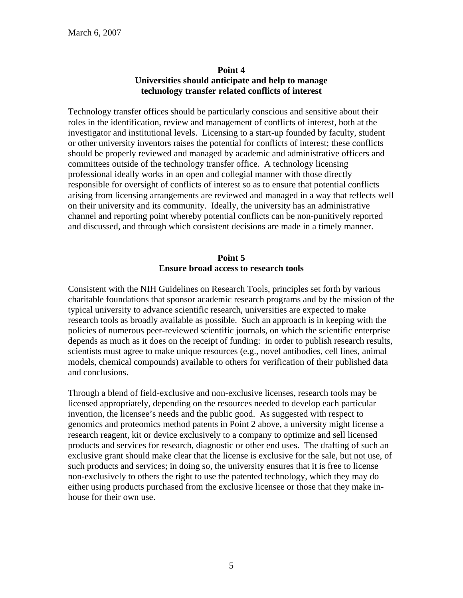# **Point 4 Universities should anticipate and help to manage technology transfer related conflicts of interest**

Technology transfer offices should be particularly conscious and sensitive about their roles in the identification, review and management of conflicts of interest, both at the investigator and institutional levels. Licensing to a start-up founded by faculty, student or other university inventors raises the potential for conflicts of interest; these conflicts should be properly reviewed and managed by academic and administrative officers and committees outside of the technology transfer office. A technology licensing professional ideally works in an open and collegial manner with those directly responsible for oversight of conflicts of interest so as to ensure that potential conflicts arising from licensing arrangements are reviewed and managed in a way that reflects well on their university and its community. Ideally, the university has an administrative channel and reporting point whereby potential conflicts can be non-punitively reported and discussed, and through which consistent decisions are made in a timely manner.

# **Point 5 Ensure broad access to research tools**

Consistent with the NIH Guidelines on Research Tools, principles set forth by various charitable foundations that sponsor academic research programs and by the mission of the typical university to advance scientific research, universities are expected to make research tools as broadly available as possible. Such an approach is in keeping with the policies of numerous peer-reviewed scientific journals, on which the scientific enterprise depends as much as it does on the receipt of funding: in order to publish research results, scientists must agree to make unique resources (e.g., novel antibodies, cell lines, animal models, chemical compounds) available to others for verification of their published data and conclusions.

Through a blend of field-exclusive and non-exclusive licenses, research tools may be licensed appropriately, depending on the resources needed to develop each particular invention, the licensee's needs and the public good. As suggested with respect to genomics and proteomics method patents in Point 2 above, a university might license a research reagent, kit or device exclusively to a company to optimize and sell licensed products and services for research, diagnostic or other end uses. The drafting of such an exclusive grant should make clear that the license is exclusive for the sale, but not use, of such products and services; in doing so, the university ensures that it is free to license non-exclusively to others the right to use the patented technology, which they may do either using products purchased from the exclusive licensee or those that they make inhouse for their own use.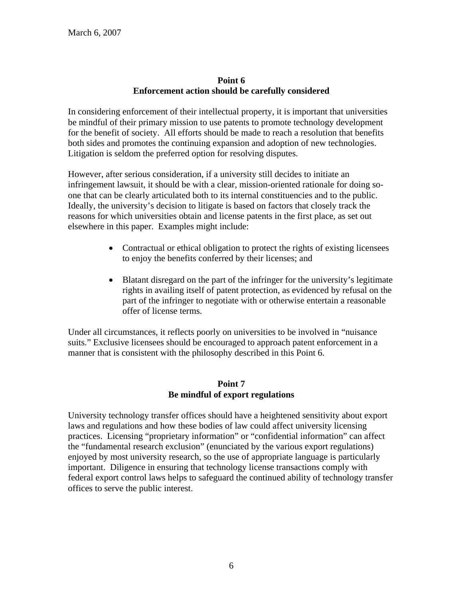### **Point 6 Enforcement action should be carefully considered**

In considering enforcement of their intellectual property, it is important that universities be mindful of their primary mission to use patents to promote technology development for the benefit of society. All efforts should be made to reach a resolution that benefits both sides and promotes the continuing expansion and adoption of new technologies. Litigation is seldom the preferred option for resolving disputes.

However, after serious consideration, if a university still decides to initiate an infringement lawsuit, it should be with a clear, mission-oriented rationale for doing soone that can be clearly articulated both to its internal constituencies and to the public. Ideally, the university's decision to litigate is based on factors that closely track the reasons for which universities obtain and license patents in the first place, as set out elsewhere in this paper. Examples might include:

- Contractual or ethical obligation to protect the rights of existing licensees to enjoy the benefits conferred by their licenses; and
- Blatant disregard on the part of the infringer for the university's legitimate rights in availing itself of patent protection, as evidenced by refusal on the part of the infringer to negotiate with or otherwise entertain a reasonable offer of license terms.

Under all circumstances, it reflects poorly on universities to be involved in "nuisance suits." Exclusive licensees should be encouraged to approach patent enforcement in a manner that is consistent with the philosophy described in this Point 6.

# **Point 7 Be mindful of export regulations**

University technology transfer offices should have a heightened sensitivity about export laws and regulations and how these bodies of law could affect university licensing practices. Licensing "proprietary information" or "confidential information" can affect the "fundamental research exclusion" (enunciated by the various export regulations) enjoyed by most university research, so the use of appropriate language is particularly important. Diligence in ensuring that technology license transactions comply with federal export control laws helps to safeguard the continued ability of technology transfer offices to serve the public interest.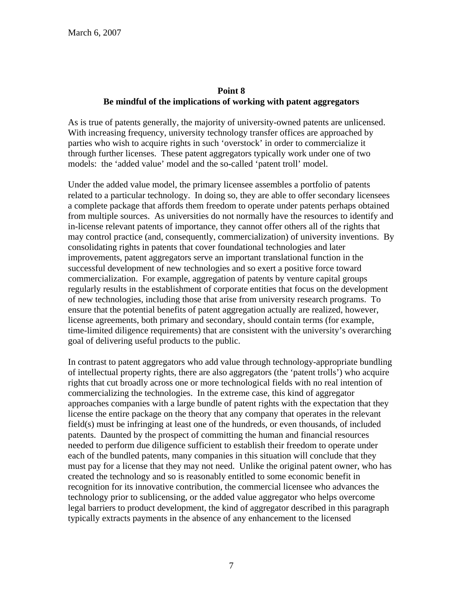### **Point 8 Be mindful of the implications of working with patent aggregators**

As is true of patents generally, the majority of university-owned patents are unlicensed. With increasing frequency, university technology transfer offices are approached by parties who wish to acquire rights in such 'overstock' in order to commercialize it through further licenses. These patent aggregators typically work under one of two models: the 'added value' model and the so-called 'patent troll' model.

Under the added value model, the primary licensee assembles a portfolio of patents related to a particular technology. In doing so, they are able to offer secondary licensees a complete package that affords them freedom to operate under patents perhaps obtained from multiple sources. As universities do not normally have the resources to identify and in-license relevant patents of importance, they cannot offer others all of the rights that may control practice (and, consequently, commercialization) of university inventions. By consolidating rights in patents that cover foundational technologies and later improvements, patent aggregators serve an important translational function in the successful development of new technologies and so exert a positive force toward commercialization. For example, aggregation of patents by venture capital groups regularly results in the establishment of corporate entities that focus on the development of new technologies, including those that arise from university research programs. To ensure that the potential benefits of patent aggregation actually are realized, however, license agreements, both primary and secondary, should contain terms (for example, time-limited diligence requirements) that are consistent with the university's overarching goal of delivering useful products to the public.

In contrast to patent aggregators who add value through technology-appropriate bundling of intellectual property rights, there are also aggregators (the 'patent trolls') who acquire rights that cut broadly across one or more technological fields with no real intention of commercializing the technologies. In the extreme case, this kind of aggregator approaches companies with a large bundle of patent rights with the expectation that they license the entire package on the theory that any company that operates in the relevant field(s) must be infringing at least one of the hundreds, or even thousands, of included patents. Daunted by the prospect of committing the human and financial resources needed to perform due diligence sufficient to establish their freedom to operate under each of the bundled patents, many companies in this situation will conclude that they must pay for a license that they may not need. Unlike the original patent owner, who has created the technology and so is reasonably entitled to some economic benefit in recognition for its innovative contribution, the commercial licensee who advances the technology prior to sublicensing, or the added value aggregator who helps overcome legal barriers to product development, the kind of aggregator described in this paragraph typically extracts payments in the absence of any enhancement to the licensed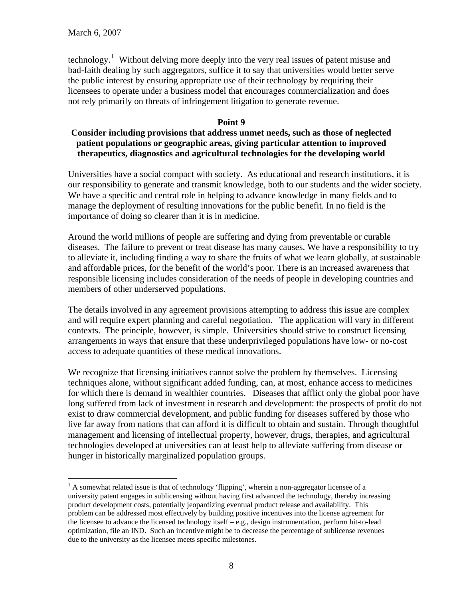$\overline{a}$ 

technology.<sup>[1](#page-7-0)</sup> Without delving more deeply into the very real issues of patent misuse and bad-faith dealing by such aggregators, suffice it to say that universities would better serve the public interest by ensuring appropriate use of their technology by requiring their licensees to operate under a business model that encourages commercialization and does not rely primarily on threats of infringement litigation to generate revenue.

#### **Point 9**

### **Consider including provisions that address unmet needs, such as those of neglected patient populations or geographic areas, giving particular attention to improved therapeutics, diagnostics and agricultural technologies for the developing world**

Universities have a social compact with society. As educational and research institutions, it is our responsibility to generate and transmit knowledge, both to our students and the wider society. We have a specific and central role in helping to advance knowledge in many fields and to manage the deployment of resulting innovations for the public benefit. In no field is the importance of doing so clearer than it is in medicine.

Around the world millions of people are suffering and dying from preventable or curable diseases. The failure to prevent or treat disease has many causes. We have a responsibility to try to alleviate it, including finding a way to share the fruits of what we learn globally, at sustainable and affordable prices, for the benefit of the world's poor. There is an increased awareness that responsible licensing includes consideration of the needs of people in developing countries and members of other underserved populations.

The details involved in any agreement provisions attempting to address this issue are complex and will require expert planning and careful negotiation. The application will vary in different contexts. The principle, however, is simple. Universities should strive to construct licensing arrangements in ways that ensure that these underprivileged populations have low- or no-cost access to adequate quantities of these medical innovations.

We recognize that licensing initiatives cannot solve the problem by themselves. Licensing techniques alone, without significant added funding, can, at most, enhance access to medicines for which there is demand in wealthier countries. Diseases that afflict only the global poor have long suffered from lack of investment in research and development: the prospects of profit do not exist to draw commercial development, and public funding for diseases suffered by those who live far away from nations that can afford it is difficult to obtain and sustain. Through thoughtful management and licensing of intellectual property, however, drugs, therapies, and agricultural technologies developed at universities can at least help to alleviate suffering from disease or hunger in historically marginalized population groups.

<span id="page-7-0"></span> $<sup>1</sup>$  A somewhat related issue is that of technology 'flipping', wherein a non-aggregator licensee of a</sup> university patent engages in sublicensing without having first advanced the technology, thereby increasing product development costs, potentially jeopardizing eventual product release and availability. This problem can be addressed most effectively by building positive incentives into the license agreement for the licensee to advance the licensed technology itself – e.g., design instrumentation, perform hit-to-lead optimization, file an IND. Such an incentive might be to decrease the percentage of sublicense revenues due to the university as the licensee meets specific milestones.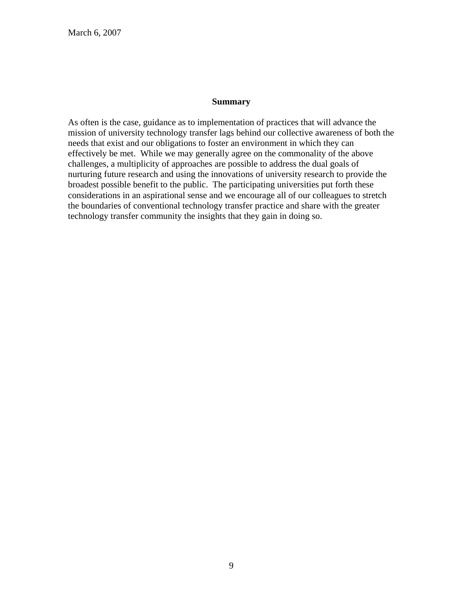#### **Summary**

As often is the case, guidance as to implementation of practices that will advance the mission of university technology transfer lags behind our collective awareness of both the needs that exist and our obligations to foster an environment in which they can effectively be met. While we may generally agree on the commonality of the above challenges, a multiplicity of approaches are possible to address the dual goals of nurturing future research and using the innovations of university research to provide the broadest possible benefit to the public. The participating universities put forth these considerations in an aspirational sense and we encourage all of our colleagues to stretch the boundaries of conventional technology transfer practice and share with the greater technology transfer community the insights that they gain in doing so.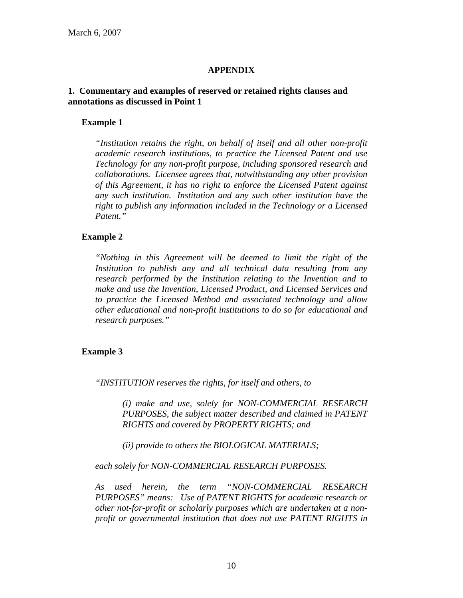### **APPENDIX**

#### **1. Commentary and examples of reserved or retained rights clauses and annotations as discussed in Point 1**

#### **Example 1**

*"Institution retains the right, on behalf of itself and all other non-profit academic research institutions, to practice the Licensed Patent and use Technology for any non-profit purpose, including sponsored research and collaborations. Licensee agrees that, notwithstanding any other provision of this Agreement, it has no right to enforce the Licensed Patent against any such institution. Institution and any such other institution have the right to publish any information included in the Technology or a Licensed Patent."* 

#### **Example 2**

*"Nothing in this Agreement will be deemed to limit the right of the Institution to publish any and all technical data resulting from any research performed by the Institution relating to the Invention and to make and use the Invention, Licensed Product, and Licensed Services and to practice the Licensed Method and associated technology and allow other educational and non-profit institutions to do so for educational and research purposes."* 

#### **Example 3**

*"INSTITUTION reserves the rights, for itself and others, to* 

*(i) make and use, solely for NON-COMMERCIAL RESEARCH PURPOSES, the subject matter described and claimed in PATENT RIGHTS and covered by PROPERTY RIGHTS; and* 

*(ii) provide to others the BIOLOGICAL MATERIALS;* 

*each solely for NON-COMMERCIAL RESEARCH PURPOSES.* 

*As used herein, the term "NON-COMMERCIAL RESEARCH PURPOSES" means: Use of PATENT RIGHTS for academic research or other not-for-profit or scholarly purposes which are undertaken at a nonprofit or governmental institution that does not use PATENT RIGHTS in*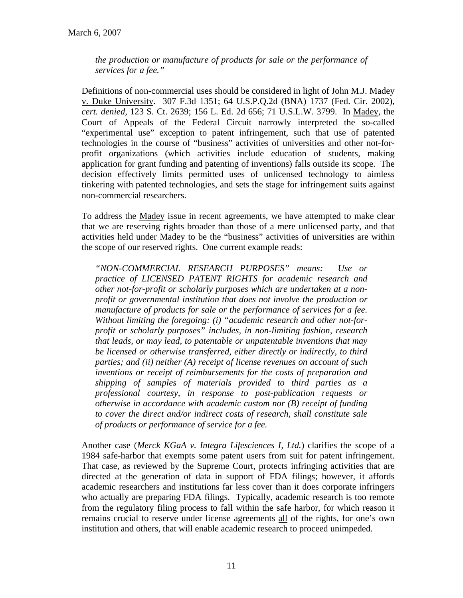*the production or manufacture of products for sale or the performance of services for a fee."* 

Definitions of non-commercial uses should be considered in light of John M.J. Madey v. Duke University. 307 F.3d 1351; 64 U.S.P.Q.2d (BNA) 1737 (Fed. Cir. 2002), *cert. denied,* 123 S. Ct. 2639; 156 L. Ed. 2d 656; 71 U.S.L.W. 3799. In Madey, the Court of Appeals of the Federal Circuit narrowly interpreted the so-called "experimental use" exception to patent infringement, such that use of patented technologies in the course of "business" activities of universities and other not-forprofit organizations (which activities include education of students, making application for grant funding and patenting of inventions) falls outside its scope. The decision effectively limits permitted uses of unlicensed technology to aimless tinkering with patented technologies, and sets the stage for infringement suits against non-commercial researchers.

To address the Madey issue in recent agreements, we have attempted to make clear that we are reserving rights broader than those of a mere unlicensed party, and that activities held under Madey to be the "business" activities of universities are within the scope of our reserved rights. One current example reads:

*"NON-COMMERCIAL RESEARCH PURPOSES" means: Use or practice of LICENSED PATENT RIGHTS for academic research and other not-for-profit or scholarly purposes which are undertaken at a nonprofit or governmental institution that does not involve the production or manufacture of products for sale or the performance of services for a fee. Without limiting the foregoing: (i) "academic research and other not-forprofit or scholarly purposes" includes, in non-limiting fashion, research that leads, or may lead, to patentable or unpatentable inventions that may be licensed or otherwise transferred, either directly or indirectly, to third parties; and (ii) neither (A) receipt of license revenues on account of such inventions or receipt of reimbursements for the costs of preparation and shipping of samples of materials provided to third parties as a professional courtesy, in response to post-publication requests or otherwise in accordance with academic custom nor (B) receipt of funding to cover the direct and/or indirect costs of research, shall constitute sale of products or performance of service for a fee.* 

Another case (*Merck KGaA v. Integra Lifesciences I, Ltd.*) clarifies the scope of a 1984 safe-harbor that exempts some patent users from suit for patent infringement. That case, as reviewed by the Supreme Court, protects infringing activities that are directed at the generation of data in support of FDA filings; however, it affords academic researchers and institutions far less cover than it does corporate infringers who actually are preparing FDA filings. Typically, academic research is too remote from the regulatory filing process to fall within the safe harbor, for which reason it remains crucial to reserve under license agreements all of the rights, for one's own institution and others, that will enable academic research to proceed unimpeded.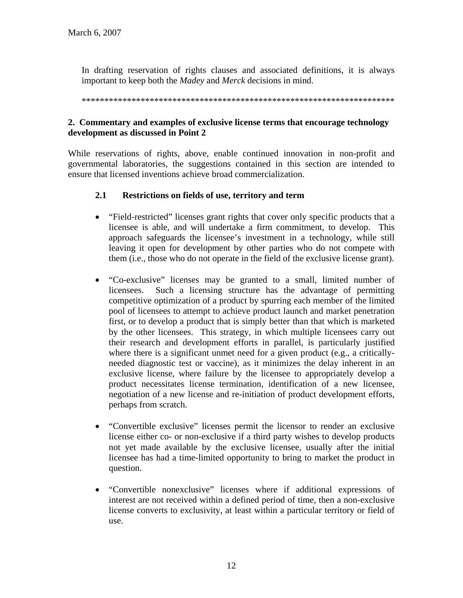In drafting reservation of rights clauses and associated definitions, it is always important to keep both the *Madey* and *Merck* decisions in mind.

\*\*\*\*\*\*\*\*\*\*\*\*\*\*\*\*\*\*\*\*\*\*\*\*\*\*\*\*\*\*\*\*\*\*\*\*\*\*\*\*\*\*\*\*\*\*\*\*\*\*\*\*\*\*\*\*\*\*\*\*\*\*\*\*\*\*\*\*\*

# **2. Commentary and examples of exclusive license terms that encourage technology development as discussed in Point 2**

While reservations of rights, above, enable continued innovation in non-profit and governmental laboratories, the suggestions contained in this section are intended to ensure that licensed inventions achieve broad commercialization.

### **2.1 Restrictions on fields of use, territory and term**

- "Field-restricted" licenses grant rights that cover only specific products that a licensee is able, and will undertake a firm commitment, to develop. This approach safeguards the licensee's investment in a technology, while still leaving it open for development by other parties who do not compete with them (i.e., those who do not operate in the field of the exclusive license grant).
- "Co-exclusive" licenses may be granted to a small, limited number of licensees. Such a licensing structure has the advantage of permitting competitive optimization of a product by spurring each member of the limited pool of licensees to attempt to achieve product launch and market penetration first, or to develop a product that is simply better than that which is marketed by the other licensees. This strategy, in which multiple licensees carry out their research and development efforts in parallel, is particularly justified where there is a significant unmet need for a given product (e.g., a criticallyneeded diagnostic test or vaccine), as it minimizes the delay inherent in an exclusive license, where failure by the licensee to appropriately develop a product necessitates license termination, identification of a new licensee, negotiation of a new license and re-initiation of product development efforts, perhaps from scratch.
- "Convertible exclusive" licenses permit the licensor to render an exclusive license either co- or non-exclusive if a third party wishes to develop products not yet made available by the exclusive licensee, usually after the initial licensee has had a time-limited opportunity to bring to market the product in question.
- "Convertible nonexclusive" licenses where if additional expressions of interest are not received within a defined period of time, then a non-exclusive license converts to exclusivity, at least within a particular territory or field of use.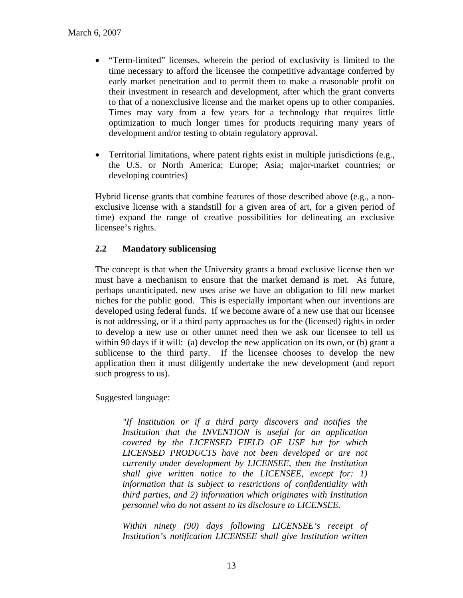- "Term-limited" licenses, wherein the period of exclusivity is limited to the time necessary to afford the licensee the competitive advantage conferred by early market penetration and to permit them to make a reasonable profit on their investment in research and development, after which the grant converts to that of a nonexclusive license and the market opens up to other companies. Times may vary from a few years for a technology that requires little optimization to much longer times for products requiring many years of development and/or testing to obtain regulatory approval.
- Territorial limitations, where patent rights exist in multiple jurisdictions (e.g., the U.S. or North America; Europe; Asia; major-market countries; or developing countries)

Hybrid license grants that combine features of those described above (e.g., a nonexclusive license with a standstill for a given area of art, for a given period of time) expand the range of creative possibilities for delineating an exclusive licensee's rights.

# **2.2 Mandatory sublicensing**

The concept is that when the University grants a broad exclusive license then we must have a mechanism to ensure that the market demand is met. As future, perhaps unanticipated, new uses arise we have an obligation to fill new market niches for the public good. This is especially important when our inventions are developed using federal funds. If we become aware of a new use that our licensee is not addressing, or if a third party approaches us for the (licensed) rights in order to develop a new use or other unmet need then we ask our licensee to tell us within 90 days if it will: (a) develop the new application on its own, or (b) grant a sublicense to the third party. If the licensee chooses to develop the new application then it must diligently undertake the new development (and report such progress to us).

Suggested language:

*"If Institution or if a third party discovers and notifies the Institution that the INVENTION is useful for an application covered by the LICENSED FIELD OF USE but for which LICENSED PRODUCTS have not been developed or are not currently under development by LICENSEE, then the Institution shall give written notice to the LICENSEE, except for: 1) information that is subject to restrictions of confidentiality with third parties, and 2) information which originates with Institution personnel who do not assent to its disclosure to LICENSEE.* 

*Within ninety (90) days following LICENSEE's receipt of Institution's notification LICENSEE shall give Institution written*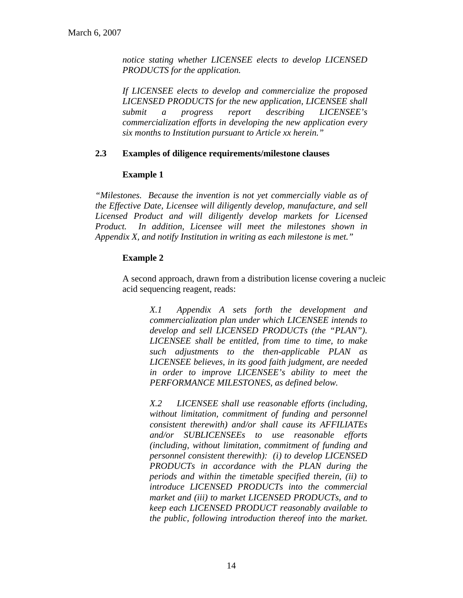*notice stating whether LICENSEE elects to develop LICENSED PRODUCTS for the application.* 

*If LICENSEE elects to develop and commercialize the proposed LICENSED PRODUCTS for the new application, LICENSEE shall submit a progress report describing LICENSEE's commercialization efforts in developing the new application every six months to Institution pursuant to Article xx herein."* 

### **2.3 Examples of diligence requirements/milestone clauses**

### **Example 1**

*"Milestones. Because the invention is not yet commercially viable as of the Effective Date, Licensee will diligently develop, manufacture, and sell Licensed Product and will diligently develop markets for Licensed Product. In addition, Licensee will meet the milestones shown in Appendix X, and notify Institution in writing as each milestone is met."* 

# **Example 2**

A second approach, drawn from a distribution license covering a nucleic acid sequencing reagent, reads:

> *X.1 Appendix A sets forth the development and commercialization plan under which LICENSEE intends to develop and sell LICENSED PRODUCTs (the "PLAN"). LICENSEE shall be entitled, from time to time, to make such adjustments to the then-applicable PLAN as LICENSEE believes, in its good faith judgment, are needed in order to improve LICENSEE's ability to meet the PERFORMANCE MILESTONES, as defined below.*

> *X.2 LICENSEE shall use reasonable efforts (including, without limitation, commitment of funding and personnel consistent therewith) and/or shall cause its AFFILIATEs and/or SUBLICENSEEs to use reasonable efforts (including, without limitation, commitment of funding and personnel consistent therewith): (i) to develop LICENSED PRODUCTs in accordance with the PLAN during the periods and within the timetable specified therein, (ii) to introduce LICENSED PRODUCTs into the commercial market and (iii) to market LICENSED PRODUCTs, and to keep each LICENSED PRODUCT reasonably available to the public, following introduction thereof into the market.*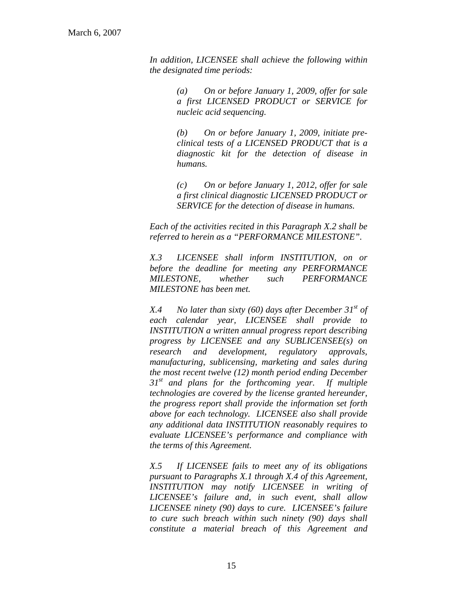*In addition, LICENSEE shall achieve the following within the designated time periods:* 

> *(a) On or before January 1, 2009, offer for sale a first LICENSED PRODUCT or SERVICE for nucleic acid sequencing.*

> *(b) On or before January 1, 2009, initiate preclinical tests of a LICENSED PRODUCT that is a diagnostic kit for the detection of disease in humans.*

> *(c) On or before January 1, 2012, offer for sale a first clinical diagnostic LICENSED PRODUCT or SERVICE for the detection of disease in humans.*

*Each of the activities recited in this Paragraph X.2 shall be referred to herein as a "PERFORMANCE MILESTONE".* 

*X.3 LICENSEE shall inform INSTITUTION, on or before the deadline for meeting any PERFORMANCE MILESTONE, whether such PERFORMANCE MILESTONE has been met.* 

*X.4 No later than sixty (60) days after December 31st of each calendar year, LICENSEE shall provide to INSTITUTION a written annual progress report describing progress by LICENSEE and any SUBLICENSEE(s) on research and development, regulatory approvals, manufacturing, sublicensing, marketing and sales during the most recent twelve (12) month period ending December 31st and plans for the forthcoming year. If multiple technologies are covered by the license granted hereunder, the progress report shall provide the information set forth above for each technology. LICENSEE also shall provide any additional data INSTITUTION reasonably requires to evaluate LICENSEE's performance and compliance with the terms of this Agreement.* 

 *X.5 If LICENSEE fails to meet any of its obligations pursuant to Paragraphs X.1 through X.4 of this Agreement, INSTITUTION may notify LICENSEE in writing of LICENSEE's failure and, in such event, shall allow LICENSEE ninety (90) days to cure. LICENSEE's failure to cure such breach within such ninety (90) days shall constitute a material breach of this Agreement and*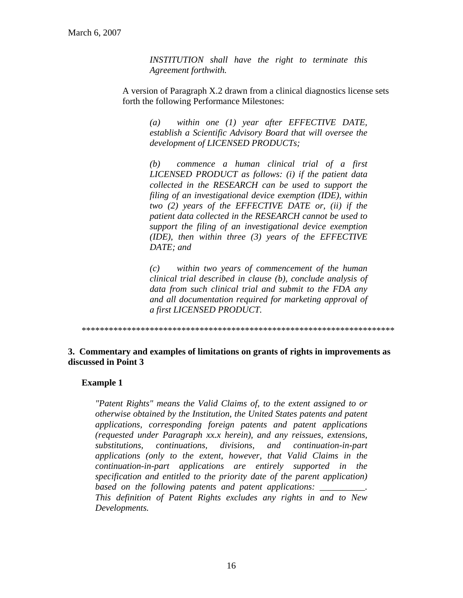*INSTITUTION shall have the right to terminate this Agreement forthwith.* 

A version of Paragraph X.2 drawn from a clinical diagnostics license sets forth the following Performance Milestones:

> *(a) within one (1) year after EFFECTIVE DATE, establish a Scientific Advisory Board that will oversee the development of LICENSED PRODUCTs;*

> *(b) commence a human clinical trial of a first LICENSED PRODUCT as follows: (i) if the patient data collected in the RESEARCH can be used to support the filing of an investigational device exemption (IDE), within two (2) years of the EFFECTIVE DATE or, (ii) if the patient data collected in the RESEARCH cannot be used to support the filing of an investigational device exemption (IDE), then within three (3) years of the EFFECTIVE DATE; and*

> *(c) within two years of commencement of the human clinical trial described in clause (b), conclude analysis of data from such clinical trial and submit to the FDA any and all documentation required for marketing approval of a first LICENSED PRODUCT.*

\*\*\*\*\*\*\*\*\*\*\*\*\*\*\*\*\*\*\*\*\*\*\*\*\*\*\*\*\*\*\*\*\*\*\*\*\*\*\*\*\*\*\*\*\*\*\*\*\*\*\*\*\*\*\*\*\*\*\*\*\*\*\*\*\*\*\*\*\*

#### **3. Commentary and examples of limitations on grants of rights in improvements as discussed in Point 3**

#### **Example 1**

*"Patent Rights" means the Valid Claims of, to the extent assigned to or otherwise obtained by the Institution, the United States patents and patent applications, corresponding foreign patents and patent applications (requested under Paragraph xx.x herein), and any reissues, extensions, substitutions, continuations, divisions, and continuation-in-part applications (only to the extent, however, that Valid Claims in the continuation-in-part applications are entirely supported in the specification and entitled to the priority date of the parent application) based on the following patents and patent applications: \_\_\_\_\_\_\_\_\_\_. This definition of Patent Rights excludes any rights in and to New Developments.*